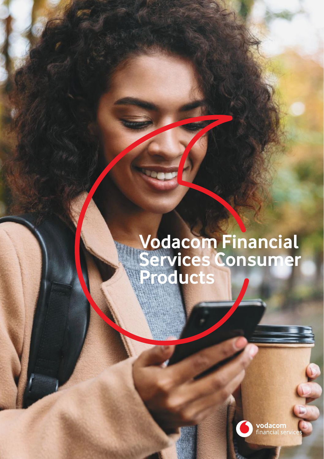# **Vodacom Financial Services Consumer Products**

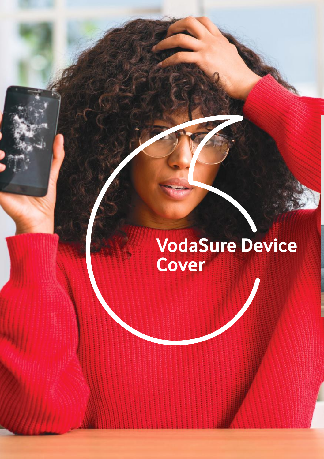# **VodaSure Device Cover**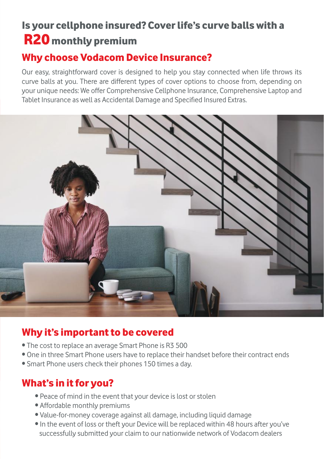# Is your cellphone insured? Cover life's curve balls with a R20 monthly premium

### Why choose Vodacom Device Insurance?

Our easy, straightforward cover is designed to help you stay connected when life throws its curve balls at you. There are different types of cover options to choose from, depending on your unique needs: We offer Comprehensive Cellphone Insurance, Comprehensive Laptop and Tablet Insurance as well as Accidental Damage and Specified Insured Extras.



#### Why it's important to be covered

- The cost to replace an average Smart Phone is R3 500
- One in three Smart Phone users have to replace their handset before their contract ends
- Smart Phone users check their phones 150 times a day.

#### What's in it for you?

- Peace of mind in the event that your device is lost or stolen
- Affordable monthly premiums
- Value-for-money coverage against all damage, including liquid damage
- In the event of loss or theft your Device will be replaced within 48 hours after you've successfully submitted your claim to our nationwide network of Vodacom dealers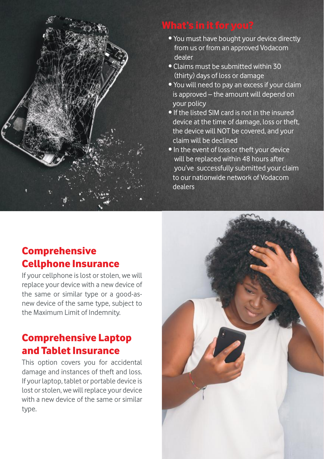

- You must have bought your device directly from us or from an approved Vodacom dealer
- Claims must be submitted within 30 (thirty) days of loss or damage
- You will need to pay an excess if your claim is approved – the amount will depend on your policy
- If the listed SIM card is not in the insured device at the time of damage, loss or theft. the device will NOT be covered, and your claim will be declined
- In the event of loss or theft your device will be replaced within 48 hours after you've successfully submitted your claim to our nationwide network of Vodacom dealers

## Comprehensive Cellphone Insurance

If your cellphone is lost or stolen, we will replace your device with a new device of the same or similar type or a good-asnew device of the same type, subject to the Maximum Limit of Indemnity.

# Comprehensive Laptop and Tablet Insurance

This option covers you for accidental damage and instances of theft and loss. If your laptop, tablet or portable device is lost or stolen, we will replace your device with a new device of the same or similar type.

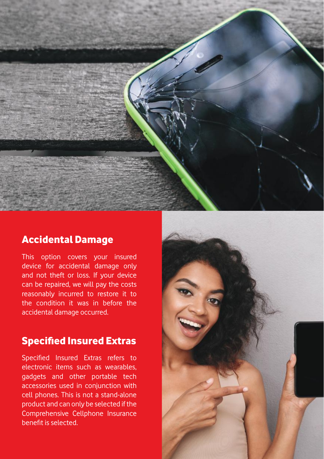

#### Accidental Damage

This option covers your insured device for accidental damage only and not theft or loss. If your device can be repaired, we will pay the costs reasonably incurred to restore it to the condition it was in before the accidental damage occurred.

#### Specified Insured Extras

Specified Insured Extras refers to electronic items such as wearables, gadgets and other portable tech accessories used in conjunction with cell phones. This is not a stand-alone product and can only be selected if the Comprehensive Cellphone Insurance benefit is selected.

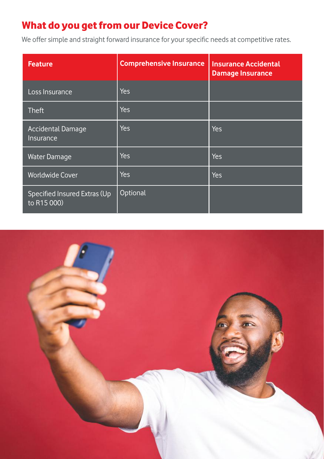## What do you get from our Device Cover?

We offer simple and straight forward insurance for your specific needs at competitive rates.

| <b>Feature</b>                              | <b>Comprehensive Insurance</b> | <b>Insurance Accidental</b><br><b>Damage Insurance</b> |
|---------------------------------------------|--------------------------------|--------------------------------------------------------|
| Loss Insurance                              | Yes                            |                                                        |
| <b>Theft</b>                                | Yes                            |                                                        |
| Accidental Damage<br><b>Insurance</b>       | <b>Yes</b>                     | Yes                                                    |
| <b>Water Damage</b>                         | Yes                            | Yes                                                    |
| <b>Worldwide Cover</b>                      | Yes                            | Yes                                                    |
| Specified Insured Extras (Up<br>to R15 000) | Optional                       |                                                        |